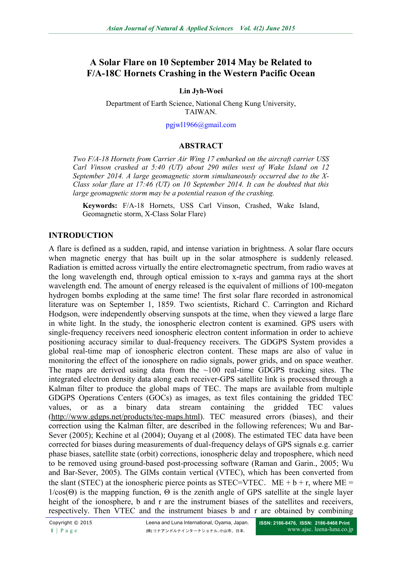# **A Solar Flare on 10 September 2014 May be Related to F/A-18C Hornets Crashing in the Western Pacific Ocean**

#### **Lin Jyh-Woei**

Department of Earth Science, National Cheng Kung University, TAIWAN.

#### [pgjwl1966@gmail.com](mailto:pgjwl1966@gmail.com)

#### **ABSTRACT**

*Two F/A-18 Hornets from Carrier Air Wing 17 embarked on the aircraft carrier USS Carl Vinson crashed at 5:40 (UT) about 290 miles west of Wake Island on 12 September 2014. A large geomagnetic storm simultaneously occurred due to the X-Class solar flare at 17:46 (UT) on 10 September 2014. It can be doubted that this large geomagnetic storm may be a potential reason of the crashing.*

**Keywords:** F/A-18 Hornets, USS Carl Vinson, Crashed, Wake Island, Geomagnetic storm, X-Class Solar Flare)

#### **INTRODUCTION**

A flare is defined as a sudden, rapid, and intense variation in brightness. A solar flare occurs when magnetic energy that has built up in the solar atmosphere is suddenly released. Radiation is emitted across virtually the entire electromagnetic spectrum, from radio waves at the long wavelength end, through optical emission to x-rays and gamma rays at the short wavelength end. The amount of energy released is the equivalent of millions of 100-megaton hydrogen bombs exploding at the same time! The first solar flare recorded in astronomical literature was on September 1, 1859. Two scientists, Richard C. Carrington and Richard Hodgson, were independently observing sunspots at the time, when they viewed a large flare in white light. In the study, the ionospheric electron content is examined. GPS users with single-frequency receivers need ionospheric electron content information in order to achieve positioning accuracy similar to dual-frequency receivers. The GDGPS System provides a global real-time map of ionospheric electron content. These maps are also of value in monitoring the effect of the ionosphere on radio signals, power grids, and on space weather. The maps are derived using data from the  $\sim 100$  real-time GDGPS tracking sites. The integrated electron density data along each receiver-GPS satellite link is processed through a Kalman filter to produce the global maps of TEC. The maps are available from multiple GDGPS Operations Centers (GOCs) as images, as text files containing the gridded TEC values, or as a binary data stream containing the gridded TEC values [\(http://www.gdgps.net/products/tec-maps.html\)](http://www.gdgps.net/products/tec-maps.html). TEC measured errors (biases), and their correction using the Kalman filter, are described in the following references; Wu and Bar-Sever (2005); Kechine et al (2004); Ouyang et al (2008). The estimated TEC data have been corrected for biases during measurements of dual-frequency delays of GPS signals e.g. carrier phase biases, satellite state (orbit) corrections, ionospheric delay and troposphere, which need to be removed using ground-based post-processing software (Raman and Garin., 2005; Wu and Bar-Sever, 2005). The GIMs contain vertical (VTEC), which has been converted from the slant (STEC) at the ionospheric pierce points as STEC=VTEC. ME + b + r, where ME =  $1/\cos(\Theta)$  is the mapping function,  $\Theta$  is the zenith angle of GPS satellite at the single layer height of the ionosphere, b and r are the instrument biases of the satellites and receivers, respectively. Then VTEC and the instrument biases b and r are obtained by combining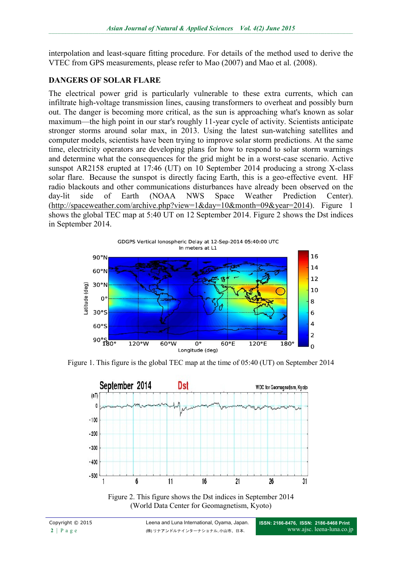interpolation and least-square fitting procedure. For details of the method used to derive the VTEC from GPS measurements, please refer to Mao (2007) and Mao et al. (2008).

### **DANGERS OF SOLAR FLARE**

The electrical power grid is particularly vulnerable to these extra currents, which can infiltrate high-voltage transmission lines, causing transformers to overheat and possibly burn out. The danger is becoming more critical, as the sun is approaching what's known as solar maximum—the high point in our star's roughly 11-year cycle of activity. Scientists anticipate stronger storms around solar max, in 2013. Using the latest sun-watching satellites and computer models, scientists have been trying to improve solar storm predictions. At the same time, electricity operators are developing plans for how to respond to solar storm warnings and determine what the consequences for the grid might be in a worst-case scenario. Active sunspot AR2158 erupted at 17:46 (UT) on 10 September 2014 producing a strong X-class solar flare. Because the sunspot is directly facing Earth, this is a geo-effective event. HF radio blackouts and other communications disturbances have already been observed on the day-lit side of Earth (NOAA NWS Space Weather Prediction Center). [\(http://spaceweather.com/archive.php?view=1&day=10&month=09&year=2014\)](http://spaceweather.com/archive.php?view=1&day=10&month=09&year=2014). Figure 1 shows the global TEC map at 5:40 UT on 12 September 2014. Figure 2 shows the Dst indices in September 2014.



Figure 1. This figure is the global TEC map at the time of 05:40 (UT) on September 2014



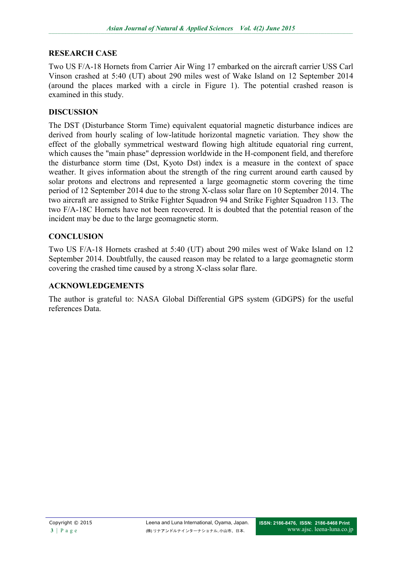### **RESEARCH CASE**

Two US F/A-18 Hornets from Carrier Air Wing 17 embarked on the aircraft carrier USS Carl Vinson crashed at 5:40 (UT) about 290 miles west of Wake Island on 12 September 2014 (around the places marked with a circle in Figure 1). The potential crashed reason is examined in this study.

### **DISCUSSION**

The DST (Disturbance Storm Time) equivalent equatorial magnetic disturbance indices are derived from hourly scaling of low-latitude horizontal magnetic variation. They show the effect of the globally symmetrical westward flowing high altitude equatorial ring current, which causes the "main phase" depression worldwide in the H-component field, and therefore the disturbance storm time (Dst, Kyoto Dst) index is a measure in the context of space weather. It gives information about the strength of the ring current around earth caused by solar protons and electrons and represented a large geomagnetic storm covering the time period of 12 September 2014 due to the strong X-class solar flare on 10 September 2014. The two aircraft are assigned to Strike Fighter Squadron 94 and Strike Fighter Squadron 113. The two F/A-18C Hornets have not been recovered. It is doubted that the potential reason of the incident may be due to the large geomagnetic storm.

## **CONCLUSION**

Two US F/A-18 Hornets crashed at 5:40 (UT) about 290 miles west of Wake Island on 12 September 2014. Doubtfully, the caused reason may be related to a large geomagnetic storm covering the crashed time caused by a strong X-class solar flare.

### **ACKNOWLEDGEMENTS**

The author is grateful to: NASA Global Differential GPS system (GDGPS) for the useful references Data.